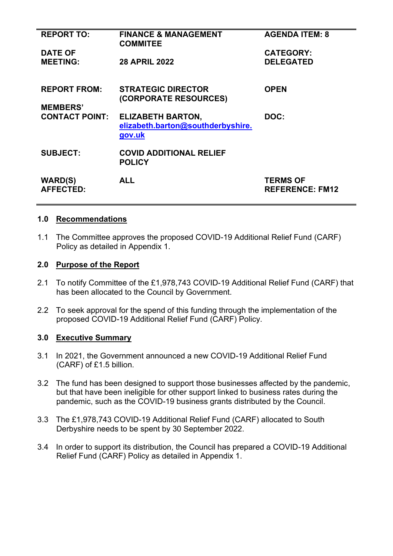| <b>REPORT TO:</b>                  | <b>FINANCE &amp; MANAGEMENT</b><br><b>COMMITEE</b>                      | <b>AGENDA ITEM: 8</b>                     |
|------------------------------------|-------------------------------------------------------------------------|-------------------------------------------|
| <b>DATE OF</b>                     |                                                                         | <b>CATEGORY:</b>                          |
| <b>MEETING:</b>                    | <b>28 APRIL 2022</b>                                                    | <b>DELEGATED</b>                          |
| <b>REPORT FROM:</b>                | <b>STRATEGIC DIRECTOR</b><br>(CORPORATE RESOURCES)                      | <b>OPEN</b>                               |
| <b>MEMBERS'</b>                    |                                                                         |                                           |
| <b>CONTACT POINT:</b>              | <b>ELIZABETH BARTON,</b><br>elizabeth.barton@southderbyshire.<br>gov.uk | DOC:                                      |
| <b>SUBJECT:</b>                    | <b>COVID ADDITIONAL RELIEF</b><br><b>POLICY</b>                         |                                           |
| <b>WARD(S)</b><br><b>AFFECTED:</b> | <b>ALL</b>                                                              | <b>TERMS OF</b><br><b>REFERENCE: FM12</b> |

#### **1.0 Recommendations**

1.1 The Committee approves the proposed COVID-19 Additional Relief Fund (CARF) Policy as detailed in Appendix 1.

#### **2.0 Purpose of the Report**

- 2.1 To notify Committee of the £1,978,743 COVID-19 Additional Relief Fund (CARF) that has been allocated to the Council by Government.
- 2.2 To seek approval for the spend of this funding through the implementation of the proposed COVID-19 Additional Relief Fund (CARF) Policy.

#### **3.0 Executive Summary**

- 3.1 In 2021, the Government announced a new COVID-19 Additional Relief Fund (CARF) of £1.5 billion.
- 3.2 The fund has been designed to support those businesses affected by the pandemic, but that have been ineligible for other support linked to business rates during the pandemic, such as the COVID-19 business grants distributed by the Council.
- 3.3 The £1,978,743 COVID-19 Additional Relief Fund (CARF) allocated to South Derbyshire needs to be spent by 30 September 2022.
- 3.4 In order to support its distribution, the Council has prepared a COVID-19 Additional Relief Fund (CARF) Policy as detailed in Appendix 1.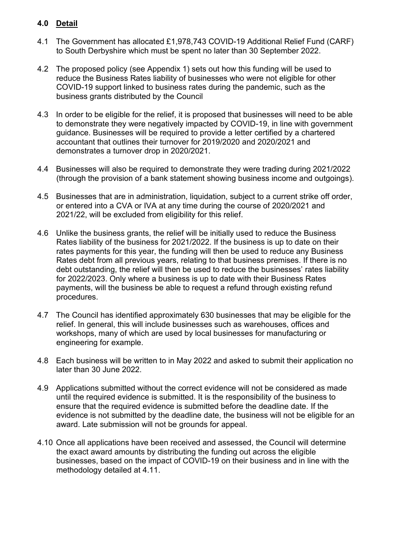# **4.0 Detail**

- 4.1 The Government has allocated £1,978,743 COVID-19 Additional Relief Fund (CARF) to South Derbyshire which must be spent no later than 30 September 2022.
- 4.2 The proposed policy (see Appendix 1) sets out how this funding will be used to reduce the Business Rates liability of businesses who were not eligible for other COVID-19 support linked to business rates during the pandemic, such as the business grants distributed by the Council
- 4.3 In order to be eligible for the relief, it is proposed that businesses will need to be able to demonstrate they were negatively impacted by COVID-19, in line with government guidance. Businesses will be required to provide a letter certified by a chartered accountant that outlines their turnover for 2019/2020 and 2020/2021 and demonstrates a turnover drop in 2020/2021.
- 4.4 Businesses will also be required to demonstrate they were trading during 2021/2022 (through the provision of a bank statement showing business income and outgoings).
- 4.5 Businesses that are in administration, liquidation, subject to a current strike off order, or entered into a CVA or IVA at any time during the course of 2020/2021 and 2021/22, will be excluded from eligibility for this relief.
- 4.6 Unlike the business grants, the relief will be initially used to reduce the Business Rates liability of the business for 2021/2022. If the business is up to date on their rates payments for this year, the funding will then be used to reduce any Business Rates debt from all previous years, relating to that business premises. If there is no debt outstanding, the relief will then be used to reduce the businesses' rates liability for 2022/2023. Only where a business is up to date with their Business Rates payments, will the business be able to request a refund through existing refund procedures.
- 4.7 The Council has identified approximately 630 businesses that may be eligible for the relief. In general, this will include businesses such as warehouses, offices and workshops, many of which are used by local businesses for manufacturing or engineering for example.
- 4.8 Each business will be written to in May 2022 and asked to submit their application no later than 30 June 2022.
- 4.9 Applications submitted without the correct evidence will not be considered as made until the required evidence is submitted. It is the responsibility of the business to ensure that the required evidence is submitted before the deadline date. If the evidence is not submitted by the deadline date, the business will not be eligible for an award. Late submission will not be grounds for appeal.
- 4.10 Once all applications have been received and assessed, the Council will determine the exact award amounts by distributing the funding out across the eligible businesses, based on the impact of COVID-19 on their business and in line with the methodology detailed at 4.11.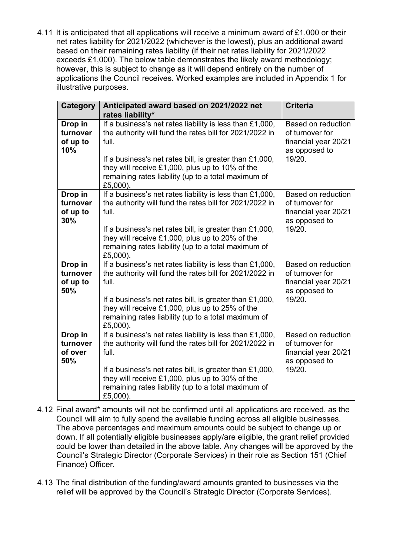4.11 It is anticipated that all applications will receive a minimum award of £1,000 or their net rates liability for 2021/2022 (whichever is the lowest), plus an additional award based on their remaining rates liability (if their net rates liability for 2021/2022 exceeds £1,000). The below table demonstrates the likely award methodology; however, this is subject to change as it will depend entirely on the number of applications the Council receives. Worked examples are included in Appendix 1 for illustrative purposes.

| Category                               | Anticipated award based on 2021/2022 net<br>rates liability*                                                                                                                                                                                                                                                    | <b>Criteria</b>                                                                                 |
|----------------------------------------|-----------------------------------------------------------------------------------------------------------------------------------------------------------------------------------------------------------------------------------------------------------------------------------------------------------------|-------------------------------------------------------------------------------------------------|
| Drop in<br>turnover<br>of up to<br>10% | If a business's net rates liability is less than £1,000,<br>the authority will fund the rates bill for 2021/2022 in<br>full.<br>If a business's net rates bill, is greater than $£1,000,$<br>they will receive £1,000, plus up to 10% of the<br>remaining rates liability (up to a total maximum of<br>£5,000). | <b>Based on reduction</b><br>of turnover for<br>financial year 20/21<br>as opposed to<br>19/20. |
| Drop in<br>turnover<br>of up to<br>30% | If a business's net rates liability is less than £1,000,<br>the authority will fund the rates bill for 2021/2022 in<br>full.<br>If a business's net rates bill, is greater than £1,000,<br>they will receive £1,000, plus up to 20% of the<br>remaining rates liability (up to a total maximum of<br>£5,000).   | <b>Based on reduction</b><br>of turnover for<br>financial year 20/21<br>as opposed to<br>19/20. |
| Drop in<br>turnover<br>of up to<br>50% | If a business's net rates liability is less than $£1,000,$<br>the authority will fund the rates bill for 2021/2022 in<br>full.<br>If a business's net rates bill, is greater than £1,000,<br>they will receive £1,000, plus up to 25% of the<br>remaining rates liability (up to a total maximum of<br>£5,000). | <b>Based on reduction</b><br>of turnover for<br>financial year 20/21<br>as opposed to<br>19/20. |
| Drop in<br>turnover<br>of over<br>50%  | If a business's net rates liability is less than £1,000,<br>the authority will fund the rates bill for 2021/2022 in<br>full.<br>If a business's net rates bill, is greater than £1,000,<br>they will receive £1,000, plus up to 30% of the<br>remaining rates liability (up to a total maximum of<br>£5,000).   | <b>Based on reduction</b><br>of turnover for<br>financial year 20/21<br>as opposed to<br>19/20. |

- 4.12 Final award\* amounts will not be confirmed until all applications are received, as the Council will aim to fully spend the available funding across all eligible businesses. The above percentages and maximum amounts could be subject to change up or down. If all potentially eligible businesses apply/are eligible, the grant relief provided could be lower than detailed in the above table. Any changes will be approved by the Council's Strategic Director (Corporate Services) in their role as Section 151 (Chief Finance) Officer.
- 4.13 The final distribution of the funding/award amounts granted to businesses via the relief will be approved by the Council's Strategic Director (Corporate Services).